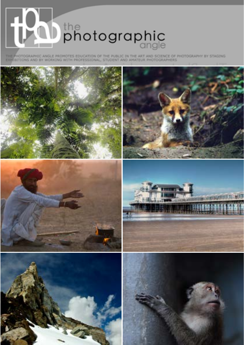

THE PHOTOGRAPHIC ANGLE PROMOTES EDUCATION OF THE PUBLIC IN THE ART AND SCIENCE OF PHOTOGRAPHY BY STAGING<br>EXHIBITIONS AND BY WORKING WITH PROFESSIONAL, STUDENT AND AMATEUR PHOTOGRAPHERS

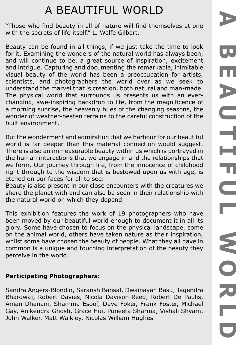# A BEAUTIFUL WORLD

"Those who find beauty in all of nature will find themselves at one with the secrets of life itself." L. Wolfe Gilbert.

Beauty can be found in all things, if we just take the time to look for it. Examining the wonders of the natural world has always been, and will continue to be, a great source of inspiration, excitement and intrigue. Capturing and documenting the remarkable, inimitable visual beauty of the world has been a preoccupation for artists, scientists, and photographers the world over as we seek to understand the marvel that is creation, both natural and man-made. The physical world that surrounds us presents us with an everchanging, awe-inspiring backdrop to life, from the magnificence of a morning sunrise, the heavenly hues of the changing seasons, the wonder of weather-beaten terrains to the careful construction of the built environment.

But the wonderment and admiration that we harbour for our beautiful world is far deeper than this material connection would suggest. There is also an immeasurable beauty within us which is portrayed in the human interactions that we engage in and the relationships that we form. Our journey through life, from the innocence of childhood right through to the wisdom that is bestowed upon us with age, is etched on our faces for all to see.

Beauty is also present in our close encounters with the creatures we share the planet with and can also be seen in their relationship with the natural world on which they depend.

This exhibition features the work of 19 photographers who have been moved by our beautiful world enough to document it in all its glory. Some have chosen to focus on the physical landscape, some on the animal world, others have taken nature as their inspiration, whilst some have chosen the beauty of people. What they all have in common is a unique and touching interpretation of the beauty they perceive in the world.

## **Participating Photographers:**

Sandra Angers-Blondin, Saransh Bansal, Dwaipayan Basu, Jagendra Bhardwaj, Robert Davies, Nicola Davison-Reed, Robert De Paulis, Aman Dhanani, Shamma Esoof, Dave Foker, Frank Foster, Michael Gay, Anikendra Ghosh, Grace Hui, Puneeta Sharma, Vishali Shyam, John Walker, Matt Walkley, Nicolas William Hughes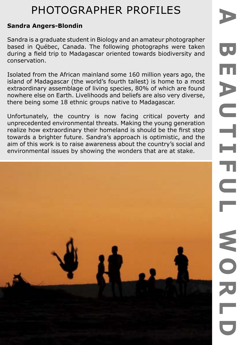### **Sandra Angers-Blondin**

Sandra is a graduate student in Biology and an amateur photographer based in Québec, Canada. The following photographs were taken during a field trip to Madagascar oriented towards biodiversity and conservation.

Isolated from the African mainland some 160 million years ago, the island of Madagascar (the world's fourth tallest) is home to a most extraordinary assemblage of living species, 80% of which are found nowhere else on Earth. Livelihoods and beliefs are also very diverse, there being some 18 ethnic groups native to Madagascar.

Unfortunately, the country is now facing critical poverty and unprecedented environmental threats. Making the young generation realize how extraordinary their homeland is should be the first step towards a brighter future. Sandra's approach is optimistic, and the aim of this work is to raise awareness about the country's social and environmental issues by showing the wonders that are at stake.

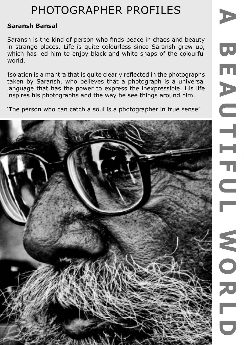### **Saransh Bansal**

Saransh is the kind of person who finds peace in chaos and beauty in strange places. Life is quite colourless since Saransh grew up, which has led him to enjoy black and white snaps of the colourful world.

Isolation is a mantra that is quite clearly reflected in the photographs taken by Saransh, who believes that a photograph is a universal language that has the power to express the inexpressible. His life inspires his photographs and the way he see things around him.

'The person who can catch a soul is a photographer in true sense'

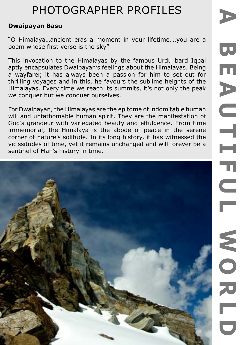#### **Dwaipayan Basu**

"O Himalaya…ancient eras a moment in your lifetime….you are a poem whose first verse is the sky"

This invocation to the Himalayas by the famous Urdu bard Iqbal aptly encapsulates Dwaipayan's feelings about the Himalayas. Being a wayfarer, it has always been a passion for him to set out for thrilling voyages and in this, he favours the sublime heights of the Himalayas. Every time we reach its summits, it's not only the peak we conquer but we conquer ourselves.

For Dwaipayan, the Himalayas are the epitome of indomitable human will and unfathomable human spirit. They are the manifestation of God's grandeur with variegated beauty and effulgence. From time immemorial, the Himalaya is the abode of peace in the serene corner of nature's solitude. In its long history, it has witnessed the vicissitudes of time, yet it remains unchanged and will forever be a sentinel of Man's history in time.

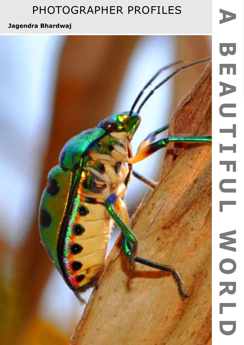E

## **Jagendra Bhardwaj**

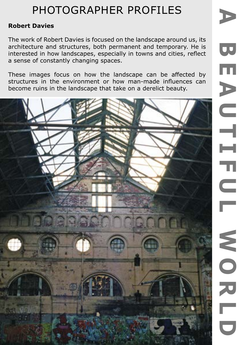## **Robert Davies**

The work of Robert Davies is focused on the landscape around us, its architecture and structures, both permanent and temporary. He is interested in how landscapes, especially in towns and cities, reflect a sense of constantly changing spaces.

These images focus on how the landscape can be affected by structures in the environment or how man-made influences can become ruins in the landscape that take on a derelict beauty.

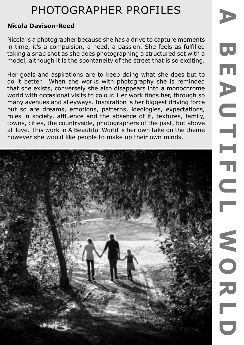### **Nicola Davison-Reed**

Nicola is a photographer because she has a drive to capture moments in time, it's a compulsion, a need, a passion. She feels as fulfilled taking a snap shot as she does photographing a structured set with a model, although it is the spontaneity of the street that is so exciting.

Her goals and aspirations are to keep doing what she does but to do it better. When she works with photography she is reminded that she exists, conversely she also disappears into a monochrome world with occasional visits to colour. Her work finds her, through so many avenues and alleyways. Inspiration is her biggest driving force but so are dreams, emotions, patterns, ideologies, expectations, roles in society, affluence and the absence of it, textures, family, towns, cities, the countryside, photographers of the past, but above all love. This work in A Beautiful World is her own take on the theme however she would like people to make up their own minds.

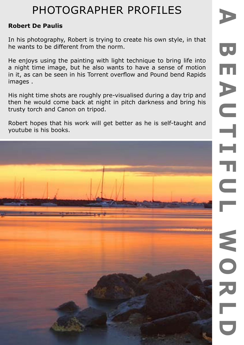#### **Robert De Paulis**

In his photography, Robert is trying to create his own style, in that he wants to be different from the norm.

He enjoys using the painting with light technique to bring life into a night time image, but he also wants to have a sense of motion in it, as can be seen in his Torrent overflow and Pound bend Rapids images .

His night time shots are roughly pre-visualised during a day trip and then he would come back at night in pitch darkness and bring his trusty torch and Canon on tripod.

Robert hopes that his work will get better as he is self-taught and youtube is his books.

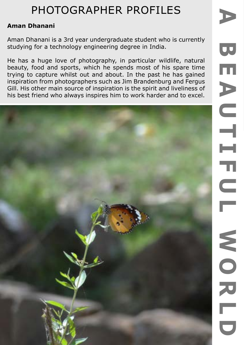### **Aman Dhanani**

Aman Dhanani is a 3rd year undergraduate student who is currently studying for a technology engineering degree in India.

He has a huge love of photography, in particular wildlife, natural beauty, food and sports, which he spends most of his spare time trying to capture whilst out and about. In the past he has gained inspiration from photographers such as Jim Brandenburg and Fergus Gill. His other main source of inspiration is the spirit and liveliness of his best friend who always inspires him to work harder and to excel.

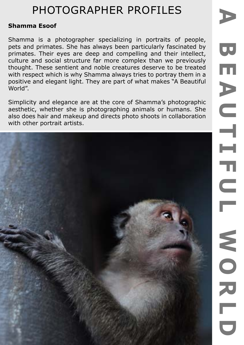### **Shamma Esoof**

Shamma is a photographer specializing in portraits of people, pets and primates. She has always been particularly fascinated by primates. Their eyes are deep and compelling and their intellect, culture and social structure far more complex than we previously thought. These sentient and noble creatures deserve to be treated with respect which is why Shamma always tries to portray them in a positive and elegant light. They are part of what makes "A Beautiful World".

Simplicity and elegance are at the core of Shamma's photographic aesthetic, whether she is photographing animals or humans. She also does hair and makeup and directs photo shoots in collaboration with other portrait artists.

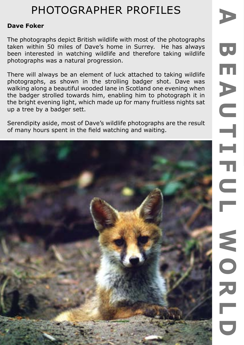#### **Dave Foker**

The photographs depict British wildlife with most of the photographs taken within 50 miles of Dave's home in Surrey. He has always been interested in watching wildlife and therefore taking wildlife photographs was a natural progression.

There will always be an element of luck attached to taking wildlife photographs, as shown in the strolling badger shot. Dave was walking along a beautiful wooded lane in Scotland one evening when the badger strolled towards him, enabling him to photograph it in the bright evening light, which made up for many fruitless nights sat up a tree by a badger sett.

Serendipity aside, most of Dave's wildlife photographs are the result of many hours spent in the field watching and waiting.

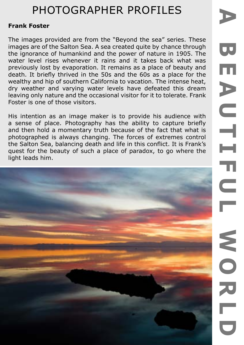#### **Frank Foster**

The images provided are from the "Beyond the sea" series. These images are of the Salton Sea. A sea created quite by chance through the ignorance of humankind and the power of nature in 1905. The water level rises whenever it rains and it takes back what was previously lost by evaporation. It remains as a place of beauty and death. It briefly thrived in the 50s and the 60s as a place for the wealthy and hip of southern California to vacation. The intense heat, dry weather and varying water levels have defeated this dream leaving only nature and the occasional visitor for it to tolerate. Frank Foster is one of those visitors.

His intention as an image maker is to provide his audience with a sense of place. Photography has the ability to capture briefly and then hold a momentary truth because of the fact that what is photographed is always changing. The forces of extremes control the Salton Sea, balancing death and life in this conflict. It is Frank's quest for the beauty of such a place of paradox, to go where the light leads him.

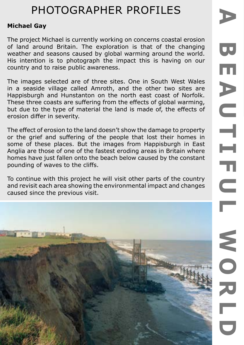## **Michael Gay**

The project Michael is currently working on concerns coastal erosion of land around Britain. The exploration is that of the changing weather and seasons caused by global warming around the world. His intention is to photograph the impact this is having on our country and to raise public awareness.

The images selected are of three sites. One in South West Wales in a seaside village called Amroth, and the other two sites are Happisburgh and Hunstanton on the north east coast of Norfolk. These three coasts are suffering from the effects of global warming, but due to the type of material the land is made of, the effects of erosion differ in severity.

The effect of erosion to the land doesn't show the damage to property or the grief and suffering of the people that lost their homes in some of these places. But the images from Happisburgh in East Anglia are those of one of the fastest eroding areas in Britain where homes have just fallen onto the beach below caused by the constant pounding of waves to the cliffs.

To continue with this project he will visit other parts of the country and revisit each area showing the environmental impact and changes caused since the previous visit.

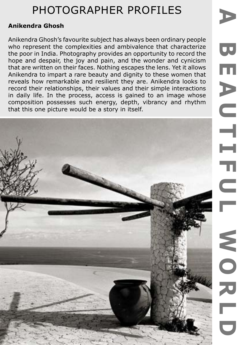### **Anikendra Ghosh**

Anikendra Ghosh's favourite subject has always been ordinary people who represent the complexities and ambivalence that characterize the poor in India. Photography provides an opportunity to record the hope and despair, the joy and pain, and the wonder and cynicism that are written on their faces. Nothing escapes the lens. Yet it allows Anikendra to impart a rare beauty and dignity to these women that reveals how remarkable and resilient they are. Anikendra looks to record their relationships, their values and their simple interactions in daily life. In the process, access is gained to an image whose composition possesses such energy, depth, vibrancy and rhythm that this one picture would be a story in itself.

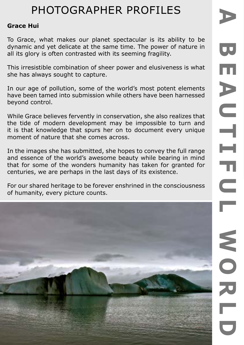#### **Grace Hui**

To Grace, what makes our planet spectacular is its ability to be dynamic and yet delicate at the same time. The power of nature in all its glory is often contrasted with its seeming fragility.

This irresistible combination of sheer power and elusiveness is what she has always sought to capture.

In our age of pollution, some of the world's most potent elements have been tamed into submission while others have been harnessed beyond control.

While Grace believes fervently in conservation, she also realizes that the tide of modern development may be impossible to turn and it is that knowledge that spurs her on to document every unique moment of nature that she comes across.

In the images she has submitted, she hopes to convey the full range and essence of the world's awesome beauty while bearing in mind that for some of the wonders humanity has taken for granted for centuries, we are perhaps in the last days of its existence.

For our shared heritage to be forever enshrined in the consciousness of humanity, every picture counts.

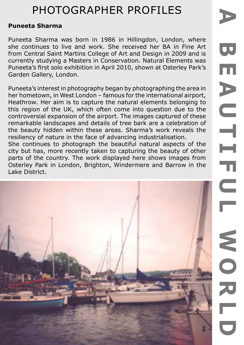#### **Puneeta Sharma**

Puneeta Sharma was born in 1986 in Hillingdon, London, where she continues to live and work. She received her BA in Fine Art from Central Saint Martins College of Art and Design in 2009 and is currently studying a Masters in Conservation. Natural Elements was Puneeta's first solo exhibition in April 2010, shown at Osterley Park's Garden Gallery, London.

Puneeta's interest in photography began by photographing the area in her hometown, in West London – famous for the international airport, Heathrow. Her aim is to capture the natural elements belonging to this region of the UK, which often come into question due to the controversial expansion of the airport. The images captured of these remarkable landscapes and details of tree bark are a celebration of the beauty hidden within these areas. Sharma's work reveals the resiliency of nature in the face of advancing industrialisation.

She continues to photograph the beautiful natural aspects of the city but has, more recently taken to capturing the beauty of other parts of the country. The work displayed here shows images from Osterley Park in London, Brighton, Windermere and Barrow in the Lake District.

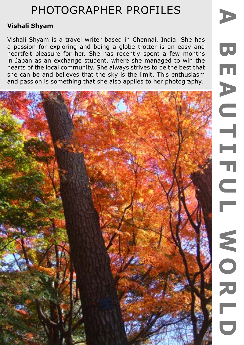### **Vishali Shyam**

Vishali Shyam is a travel writer based in Chennai, India. She has a passion for exploring and being a globe trotter is an easy and heartfelt pleasure for her. She has recently spent a few months in Japan as an exchange student, where she managed to win the hearts of the local community. She always strives to be the best that she can be and believes that the sky is the limit. This enthusiasm and passion is something that she also applies to her photography.

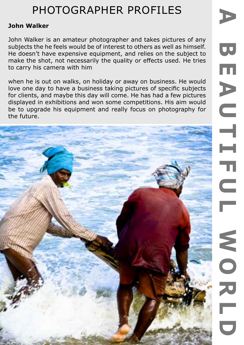## **John Walker**

John Walker is an amateur photographer and takes pictures of any subjects the he feels would be of interest to others as well as himself. He doesn't have expensive equipment, and relies on the subject to make the shot, not necessarily the quality or effects used. He tries to carry his camera with him

when he is out on walks, on holiday or away on business. He would love one day to have a business taking pictures of specific subjects for clients, and maybe this day will come. He has had a few pictures displayed in exhibitions and won some competitions. His aim would be to upgrade his equipment and really focus on photography for the future.

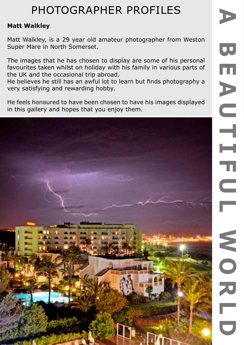### **Matt Walkley**

Matt Walkley, is a 29 year old amateur photographer from Weston Super Mare in North Somerset.

The images that he has chosen to display are some of his personal favourites taken whilst on holiday with his family in various parts of the UK and the occasional trip abroad.

He believes he still has an awful lot to learn but finds photography a very satisfying and rewarding hobby.

He feels honoured to have been chosen to have his images displayed in this gallery and hopes that you enjoy them.